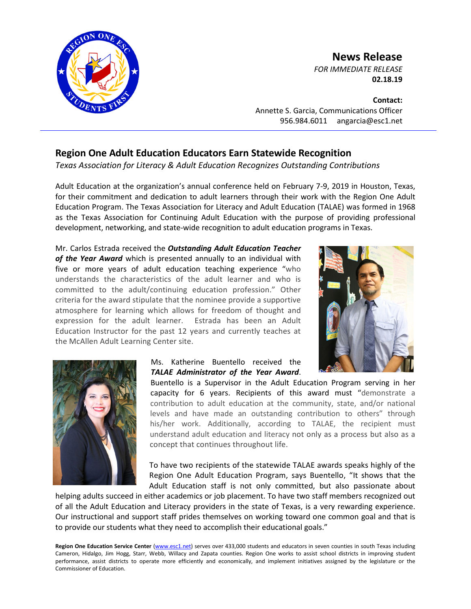

## **News Release**

*FOR IMMEDIATE RELEASE* **02.18.19**

**Contact:** Annette S. Garcia, Communications Officer 956.984.6011 angarcia@esc1.net

## **Region One Adult Education Educators Earn Statewide Recognition**

*Texas Association for Literacy & Adult Education Recognizes Outstanding Contributions*

Adult Education at the organization's annual conference held on February 7-9, 2019 in Houston, Texas, for their commitment and dedication to adult learners through their work with the Region One Adult Education Program. The Texas Association for Literacy and Adult Education (TALAE) was formed in 1968 as the Texas Association for Continuing Adult Education with the purpose of providing professional development, networking, and state-wide recognition to adult education programs in Texas.

Mr. Carlos Estrada received the *Outstanding Adult Education Teacher of the Year Award* which is presented annually to an individual with five or more years of adult education teaching experience "who understands the characteristics of the adult learner and who is committed to the adult/continuing education profession." Other criteria for the award stipulate that the nominee provide a supportive atmosphere for learning which allows for freedom of thought and expression for the adult learner. Estrada has been an Adult Education Instructor for the past 12 years and currently teaches at the McAllen Adult Learning Center site.





## Ms. Katherine Buentello received the *TALAE Administrator of the Year Award*.

Buentello is a Supervisor in the Adult Education Program serving in her capacity for 6 years. Recipients of this award must "demonstrate a contribution to adult education at the community, state, and/or national levels and have made an outstanding contribution to others" through his/her work. Additionally, according to TALAE, the recipient must understand adult education and literacy not only as a process but also as a concept that continues throughout life.

To have two recipients of the statewide TALAE awards speaks highly of the Region One Adult Education Program, says Buentello, "It shows that the Adult Education staff is not only committed, but also passionate about

helping adults succeed in either academics or job placement. To have two staff members recognized out of all the Adult Education and Literacy providers in the state of Texas, is a very rewarding experience. Our instructional and support staff prides themselves on working toward one common goal and that is to provide our students what they need to accomplish their educational goals."

Region One Education Service Center [\(www.esc1.net\)](http://www.esc1.net/) serves over 433,000 students and educators in seven counties in south Texas including Cameron, Hidalgo, Jim Hogg, Starr, Webb, Willacy and Zapata counties. Region One works to assist school districts in improving student performance, assist districts to operate more efficiently and economically, and implement initiatives assigned by the legislature or the Commissioner of Education.